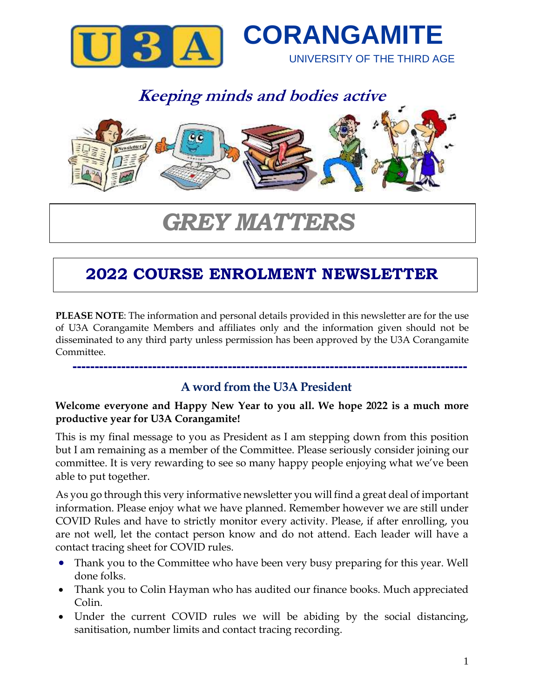



# *GREY MATTERS*

## **2022 COURSE ENROLMENT NEWSLETTER**

**PLEASE NOTE**: The information and personal details provided in this newsletter are for the use of U3A Corangamite Members and affiliates only and the information given should not be disseminated to any third party unless permission has been approved by the U3A Corangamite Committee.

#### **A word from the U3A President**

 **-----------------------------------------------------------------------------------------**

#### **Welcome everyone and Happy New Year to you all. We hope 2022 is a much more productive year for U3A Corangamite!**

This is my final message to you as President as I am stepping down from this position but I am remaining as a member of the Committee. Please seriously consider joining our committee. It is very rewarding to see so many happy people enjoying what we've been able to put together.

As you go through this very informative newsletter you will find a great deal of important information. Please enjoy what we have planned. Remember however we are still under COVID Rules and have to strictly monitor every activity. Please, if after enrolling, you are not well, let the contact person know and do not attend. Each leader will have a contact tracing sheet for COVID rules.

- Thank you to the Committee who have been very busy preparing for this year. Well done folks.
- Thank you to Colin Hayman who has audited our finance books. Much appreciated Colin.
- Under the current COVID rules we will be abiding by the social distancing, sanitisation, number limits and contact tracing recording.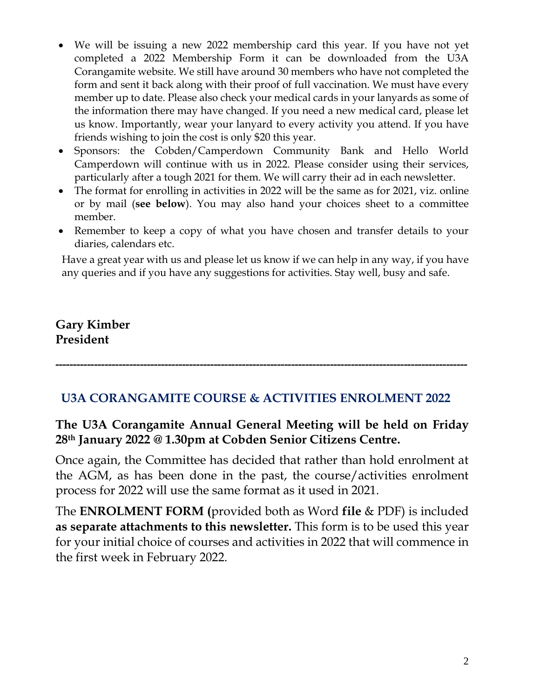- We will be issuing a new 2022 membership card this year. If you have not yet completed a 2022 Membership Form it can be downloaded from the U3A Corangamite website. We still have around 30 members who have not completed the form and sent it back along with their proof of full vaccination. We must have every member up to date. Please also check your medical cards in your lanyards as some of the information there may have changed. If you need a new medical card, please let us know. Importantly, wear your lanyard to every activity you attend. If you have friends wishing to join the cost is only \$20 this year.
- Sponsors: the Cobden/Camperdown Community Bank and Hello World Camperdown will continue with us in 2022. Please consider using their services, particularly after a tough 2021 for them. We will carry their ad in each newsletter.
- The format for enrolling in activities in 2022 will be the same as for 2021, viz. online or by mail (**see below**). You may also hand your choices sheet to a committee member.
- Remember to keep a copy of what you have chosen and transfer details to your diaries, calendars etc.

Have a great year with us and please let us know if we can help in any way, if you have any queries and if you have any suggestions for activities. Stay well, busy and safe.

### **Gary Kimber President**

**---------------------------------------------------------------------------------------------------------------------**

#### **U3A CORANGAMITE COURSE & ACTIVITIES ENROLMENT 2022**

#### **The U3A Corangamite Annual General Meeting will be held on Friday 28th January 2022 @ 1.30pm at Cobden Senior Citizens Centre.**

Once again, the Committee has decided that rather than hold enrolment at the AGM, as has been done in the past, the course/activities enrolment process for 2022 will use the same format as it used in 2021.

The **ENROLMENT FORM (**provided both as Word **file** & PDF) is included **as separate attachments to this newsletter.** This form is to be used this year for your initial choice of courses and activities in 2022 that will commence in the first week in February 2022.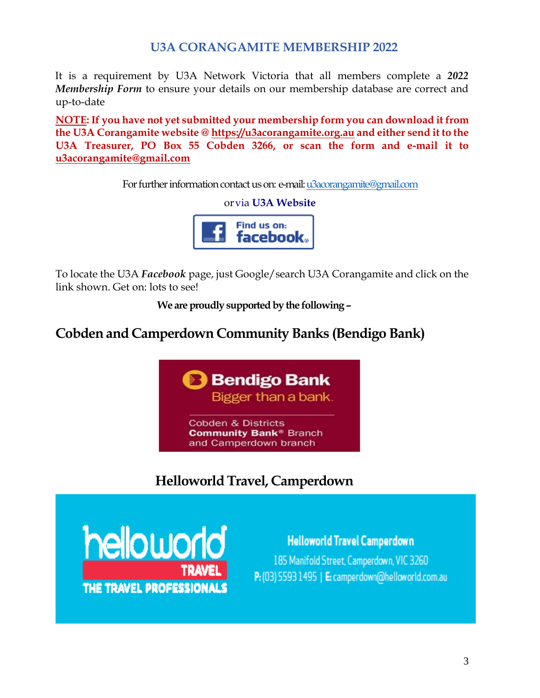#### **U3A CORANGAMITE MEMBERSHIP 2022**

It is a requirement by U3A Network Victoria that all members complete a *2022 Membership Form* to ensure your details on our membership database are correct and up-to-date

**NOTE: If you have not yet submitted your membership form you can download it from the U3A Corangamite website @ [https://u3acorangamite.org.au](https://u3acorangamite.org.au/) and either send it to the U3A Treasurer, PO Box 55 Cobden 3266, or scan the form and e-mail it to [u3acorangamite@gmail.com](mailto:u3acorangamite@gmail.com)**

For further information contact us on: e-mail[: u3acorangamite@gmail.com](mailto:u3acorangamite@gmail.com)

orvia **U3A Website**



To locate the U3A *Facebook* page, just Google/search U3A Corangamite and click on the link shown. Get on: lots to see!

**We are proudly supported by the following –**

## **Cobden and Camperdown Community Banks (Bendigo Bank)**



## **HelloworldTravel, Camperdown**



**Helloworld Travel Camperdown** 185 Manifold Street, Camperdown, VIC 3260 P: (03) 5593 1495 | E: camperdown@helloworld.com.au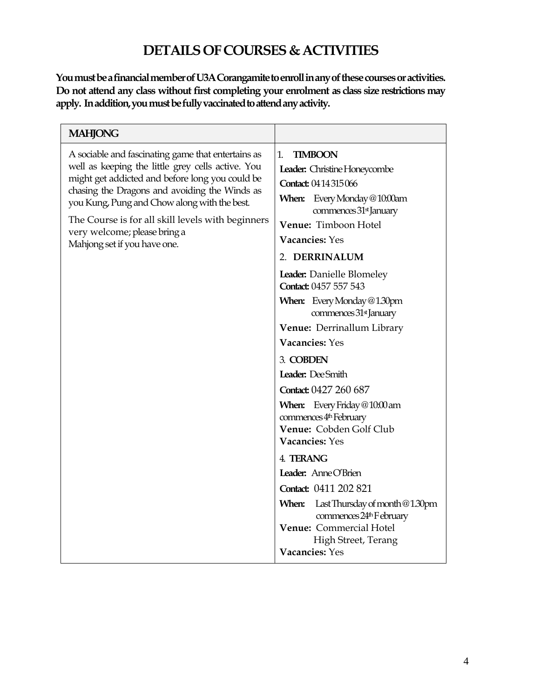## **DETAILSOF COURSES& ACTIVITIES**

You must be a financial member of U3A Corangamite to enroll in any of these courses or activities. **Do not attend any class without first completing your enrolment as class size restrictions may apply. In addition, you must be fully vaccinated to attend any activity.**

| <b>MAHJONG</b>                                                                                                                                                                                                                                                                                                                                                                   |                                                                                                                                                                                                                                                                                                                                                                                                                                                                                                                                                                                                                                                                                                                                                                                                                     |
|----------------------------------------------------------------------------------------------------------------------------------------------------------------------------------------------------------------------------------------------------------------------------------------------------------------------------------------------------------------------------------|---------------------------------------------------------------------------------------------------------------------------------------------------------------------------------------------------------------------------------------------------------------------------------------------------------------------------------------------------------------------------------------------------------------------------------------------------------------------------------------------------------------------------------------------------------------------------------------------------------------------------------------------------------------------------------------------------------------------------------------------------------------------------------------------------------------------|
| A sociable and fascinating game that entertains as<br>well as keeping the little grey cells active. You<br>might get addicted and before long you could be<br>chasing the Dragons and avoiding the Winds as<br>you Kung, Pung and Chow along with the best.<br>The Course is for all skill levels with beginners<br>very welcome; please bring a<br>Mahjong set if you have one. | <b>TIMBOON</b><br>$1_{-}$<br>Leader: Christine Honeycombe<br><b>Contact: 0414315066</b><br>When: Every Monday @ 10:00am<br>commences 31 <sup>st</sup> January<br>Venue: Timboon Hotel<br>Vacancies: Yes<br>2. DERRINALUM<br>Leader: Danielle Blomeley<br>Contact: 0457 557 543<br><b>When:</b> Every Monday @1.30pm<br>commences 31 <sup>st</sup> January<br>Venue: Derrinallum Library<br>Vacancies: Yes<br>3. COBDEN<br>Leader: Dee Smith<br>Contact: 0427 260 687<br>When: Every Friday @10:00 am<br>commences 4 <sup>th</sup> February<br>Venue: Cobden Golf Club<br>Vacancies: Yes<br>4. TERANG<br>Leader: Anne O'Brien<br>Contact: 0411 202 821<br><b>When:</b> Last Thursday of month $@1.30$ pm<br>commences 24 <sup>th</sup> F ebruary<br>Venue: Commercial Hotel<br>High Street, Terang<br>Vacancies: Yes |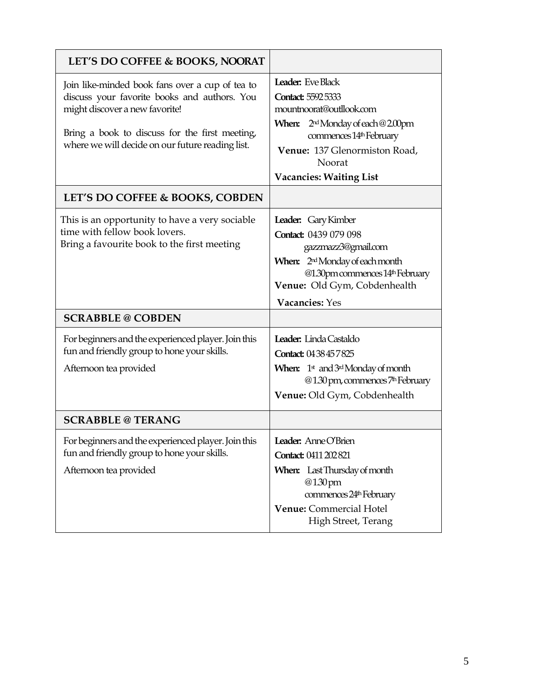| LET'S DO COFFEE & BOOKS, NOORAT                                                                                                                                                                                                         |                                                                                                                                                                                                                                            |
|-----------------------------------------------------------------------------------------------------------------------------------------------------------------------------------------------------------------------------------------|--------------------------------------------------------------------------------------------------------------------------------------------------------------------------------------------------------------------------------------------|
| Join like-minded book fans over a cup of tea to<br>discuss your favorite books and authors. You<br>might discover a new favorite!<br>Bring a book to discuss for the first meeting,<br>where we will decide on our future reading list. | <b>Leader:</b> Eve Black<br><b>Contact: 5592 5333</b><br>mountnoorat@outllook.com<br><b>When:</b> $2^{nd}$ Monday of each @ 2.00pm<br>commences 14th February<br>Venue: 137 Glenormiston Road,<br>Noorat<br><b>Vacancies: Waiting List</b> |
| LET'S DO COFFEE & BOOKS, COBDEN                                                                                                                                                                                                         |                                                                                                                                                                                                                                            |
| This is an opportunity to have a very sociable<br>time with fellow book lovers.<br>Bring a favourite book to the first meeting                                                                                                          | Leader: Gary Kimber<br>Contact: 0439 079 098<br>gazzmazz3@gmail.com<br>When: 2 <sup>nd</sup> Monday of each month<br>@1.30pm commences 14th February<br>Venue: Old Gym, Cobdenhealth                                                       |
|                                                                                                                                                                                                                                         | Vacancies: Yes                                                                                                                                                                                                                             |
| <b>SCRABBLE @ COBDEN</b>                                                                                                                                                                                                                |                                                                                                                                                                                                                                            |
| For beginners and the experienced player. Join this<br>fun and friendly group to hone your skills.<br>Afternoon tea provided                                                                                                            | Leader: Linda Castaldo<br>Contact: 0438457825<br><b>When:</b> $1^{\text{st}}$ and $3^{\text{rd}}$ Monday of month<br>@1.30 pm, commences 7 <sup>th</sup> February<br>Venue: Old Gym, Cobdenhealth                                          |
| <b>SCRABBLE @ TERANG</b>                                                                                                                                                                                                                |                                                                                                                                                                                                                                            |
| For beginners and the experienced player. Join this<br>fun and friendly group to hone your skills.<br>Afternoon tea provided                                                                                                            | <b>Leader:</b> Anne O'Brien<br>Contact: 0411 202 821<br><b>When:</b> Last Thursday of month<br>@1.30pm<br>commences 24 <sup>th</sup> February<br>Venue: Commercial Hotel<br>High Street, Terang                                            |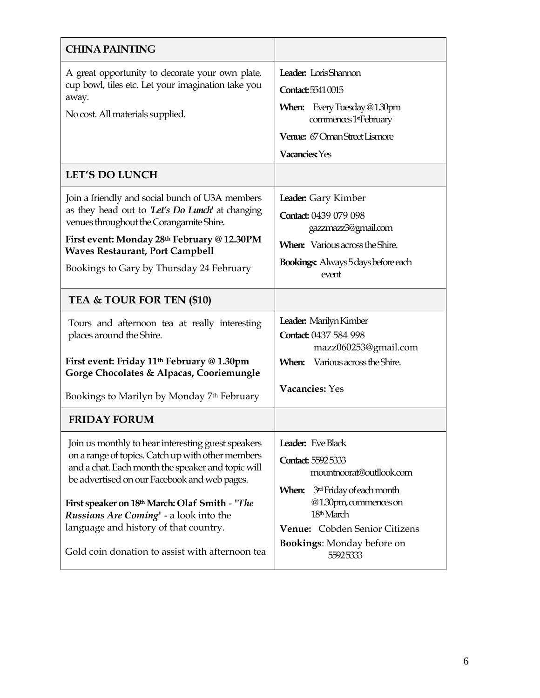| <b>CHINA PAINTING</b>                                                                                                                                                                                                                                                                                                                                                                                |                                                                                                                                                                                                                                       |  |  |
|------------------------------------------------------------------------------------------------------------------------------------------------------------------------------------------------------------------------------------------------------------------------------------------------------------------------------------------------------------------------------------------------------|---------------------------------------------------------------------------------------------------------------------------------------------------------------------------------------------------------------------------------------|--|--|
| A great opportunity to decorate your own plate,<br>cup bowl, tiles etc. Let your imagination take you<br>away.<br>No cost. All materials supplied.                                                                                                                                                                                                                                                   | Leader: LorisShannon<br>Contact: 5541 0015<br><b>When:</b> Every Tuesday @1.30pm<br>commences 1stFebruary<br>Venue: 67 Oman Street Lismore<br>Vacancies: Yes                                                                          |  |  |
| <b>LET'S DO LUNCH</b>                                                                                                                                                                                                                                                                                                                                                                                |                                                                                                                                                                                                                                       |  |  |
| Join a friendly and social bunch of U3A members<br>as they head out to 'Let's Do Lunch' at changing<br>venues throughout the Corangamite Shire.<br>First event: Monday 28th February @ 12.30PM<br><b>Waves Restaurant, Port Campbell</b><br>Bookings to Gary by Thursday 24 February                                                                                                                 | Leader: Gary Kimber<br>Contact: 0439 079 098<br>gazzmazz3@gmail.com<br><b>When:</b> Various across the Shire.<br><b>Bookings:</b> Always 5 days before each<br>event                                                                  |  |  |
| TEA & TOUR FOR TEN (\$10)                                                                                                                                                                                                                                                                                                                                                                            |                                                                                                                                                                                                                                       |  |  |
| Tours and afternoon tea at really interesting<br>places around the Shire.<br>First event: Friday 11 <sup>th</sup> February @ 1.30pm<br>Gorge Chocolates & Alpacas, Cooriemungle                                                                                                                                                                                                                      | Leader: Marilyn Kimber<br>Contact: 0437 584 998<br>mazz060253@gmail.com<br><b>When:</b> Various across the Shire.                                                                                                                     |  |  |
| Bookings to Marilyn by Monday 7th February                                                                                                                                                                                                                                                                                                                                                           | Vacancies: Yes                                                                                                                                                                                                                        |  |  |
| <b>FRIDAY FORUM</b>                                                                                                                                                                                                                                                                                                                                                                                  |                                                                                                                                                                                                                                       |  |  |
| Join us monthly to hear interesting guest speakers<br>on a range of topics. Catch up with other members<br>and a chat. Each month the speaker and topic will<br>be advertised on our Facebook and web pages.<br>First speaker on 18th March: Olaf Smith - "The<br>Russians Are Coming" - a look into the<br>language and history of that country.<br>Gold coin donation to assist with afternoon tea | Leader: Eve Black<br><b>Contact: 5592 5333</b><br>mountnoorat@outllook.com<br>When: 3rd Friday of each month<br>@1.30pm, commences on<br>18th March<br>Venue: Cobden Senior Citizens<br><b>Bookings:</b> Monday before on<br>55925333 |  |  |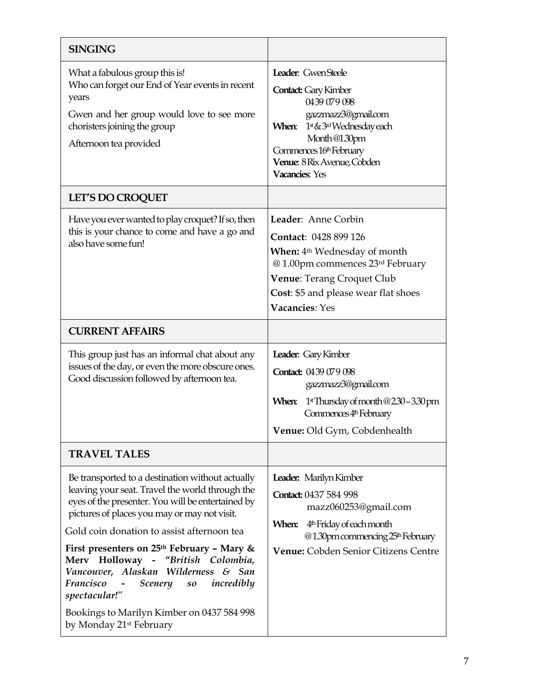| <b>SINGING</b>                                                                                                                                                                                                                                                                                                                                                                                                                                                                                                                                                            |                                                                                                                                                                                                                             |
|---------------------------------------------------------------------------------------------------------------------------------------------------------------------------------------------------------------------------------------------------------------------------------------------------------------------------------------------------------------------------------------------------------------------------------------------------------------------------------------------------------------------------------------------------------------------------|-----------------------------------------------------------------------------------------------------------------------------------------------------------------------------------------------------------------------------|
| What a fabulous group this is!<br>Who can forget our End of Year events in recent<br>years<br>Gwen and her group would love to see more<br>choristers joining the group<br>Afternoon tea provided                                                                                                                                                                                                                                                                                                                                                                         | Leader: GwenSteele<br><b>Contact:</b> Gary Kimber<br>0439 079 098<br>gazzmazz3@gmail.com<br>1st & 3rd Wednesday each<br>When:<br>Month@1.30pm<br>Commences 16th February<br>Venue: 8 Rix Avenue, Cobden<br>Vacancies: Yes   |
| <b>LET'S DO CROQUET</b>                                                                                                                                                                                                                                                                                                                                                                                                                                                                                                                                                   |                                                                                                                                                                                                                             |
| Have you ever wanted to play croquet? If so, then<br>this is your chance to come and have a go and<br>also have some fun!                                                                                                                                                                                                                                                                                                                                                                                                                                                 | Leader: Anne Corbin<br>Contact: 0428 899 126<br><b>When:</b> 4 <sup>th</sup> Wednesday of month<br>@ 1.00pm commences 23rd February<br>Venue: Terang Croquet Club<br>Cost: \$5 and please wear flat shoes<br>Vacancies: Yes |
| <b>CURRENT AFFAIRS</b>                                                                                                                                                                                                                                                                                                                                                                                                                                                                                                                                                    |                                                                                                                                                                                                                             |
| This group just has an informal chat about any<br>issues of the day, or even the more obscure ones.<br>Good discussion followed by afternoon tea.                                                                                                                                                                                                                                                                                                                                                                                                                         | Leader: Gary Kimber<br>Contact: 0439 079 098<br>gazzmazz3@gmail.com<br>1st Thursday of month @230-330 pm<br>When:<br>Commences 4th February<br>Venue: Old Gym, Cobdenhealth                                                 |
| <b>TRAVEL TALES</b>                                                                                                                                                                                                                                                                                                                                                                                                                                                                                                                                                       |                                                                                                                                                                                                                             |
| Be transported to a destination without actually<br>leaving your seat. Travel the world through the<br>eyes of the presenter. You will be entertained by<br>pictures of places you may or may not visit.<br>Gold coin donation to assist afternoon tea<br>First presenters on $25th$ February - Mary &<br>Merv Holloway - "British Colombia,<br>Vancouver, Alaskan Wilderness & San<br>Francisco<br><b>Scenery</b><br>incredibly<br>$\sim$ $-$<br>$\boldsymbol{so}$<br>spectacular!"<br>Bookings to Marilyn Kimber on 0437 584 998<br>by Monday 21 <sup>st</sup> February | Leader: Marilyn Kimber<br>Contact: 0437 584 998<br>mazz060253@gmail.com<br>4 <sup>th</sup> Friday of each month<br>When:<br>@1.30pm commencing 25 <sup>th</sup> February<br>Venue: Cobden Senior Citizens Centre            |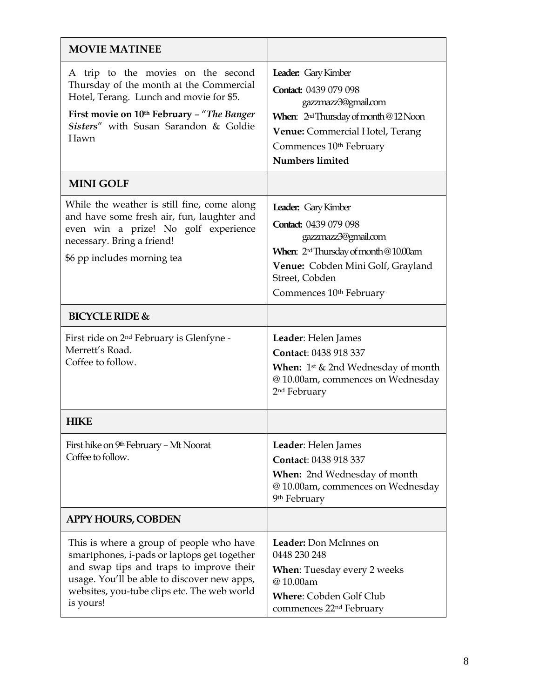| <b>MOVIE MATINEE</b>                                                                                                                                                                                                                           |                                                                                                                                                                                                                             |
|------------------------------------------------------------------------------------------------------------------------------------------------------------------------------------------------------------------------------------------------|-----------------------------------------------------------------------------------------------------------------------------------------------------------------------------------------------------------------------------|
| A trip to the movies on the second<br>Thursday of the month at the Commercial<br>Hotel, Terang. Lunch and movie for \$5.<br>First movie on 10th February - "The Banger<br>Sisters" with Susan Sarandon & Goldie<br>Hawn                        | Leader: Gary Kimber<br>Contact: 0439 079 098<br>gazzmazz3@gmail.com<br>When: 2 <sup>nd</sup> Thursday of month @12 Noon<br>Venue: Commercial Hotel, Terang<br>Commences 10 <sup>th</sup> February<br><b>Numbers limited</b> |
| <b>MINI GOLF</b>                                                                                                                                                                                                                               |                                                                                                                                                                                                                             |
| While the weather is still fine, come along<br>and have some fresh air, fun, laughter and<br>even win a prize! No golf experience<br>necessary. Bring a friend!<br>\$6 pp includes morning tea                                                 | Leader: Gary Kimber<br>Contact: 0439 079 098<br>gazzmazz3@gmail.com<br>When: $2rd Thursday of month @ 10.00am$<br>Venue: Cobden Mini Golf, Grayland<br>Street, Cobden<br>Commences 10th February                            |
| <b>BICYCLE RIDE &amp;</b>                                                                                                                                                                                                                      |                                                                                                                                                                                                                             |
| First ride on 2 <sup>nd</sup> February is Glenfyne -<br>Merrett's Road.<br>Coffee to follow.                                                                                                                                                   | Leader: Helen James<br>Contact: 0438 918 337<br><b>When:</b> $1^{st}$ & 2nd Wednesday of month<br>@10.00am, commences on Wednesday<br>2 <sup>nd</sup> February                                                              |
| <b>HIKE</b>                                                                                                                                                                                                                                    |                                                                                                                                                                                                                             |
| First hike on 9th February - Mt Noorat<br>Coffee to follow.                                                                                                                                                                                    | Leader: Helen James<br>Contact: 0438 918 337<br><b>When:</b> 2nd Wednesday of month<br>@10.00am, commences on Wednesday<br>9 <sup>th</sup> February                                                                         |
| <b>APPY HOURS, COBDEN</b>                                                                                                                                                                                                                      |                                                                                                                                                                                                                             |
| This is where a group of people who have<br>smartphones, i-pads or laptops get together<br>and swap tips and traps to improve their<br>usage. You'll be able to discover new apps,<br>websites, you-tube clips etc. The web world<br>is yours! | Leader: Don McInnes on<br>0448 230 248<br><b>When:</b> Tuesday every 2 weeks<br>@10.00am<br><b>Where: Cobden Golf Club</b><br>commences 22 <sup>nd</sup> February                                                           |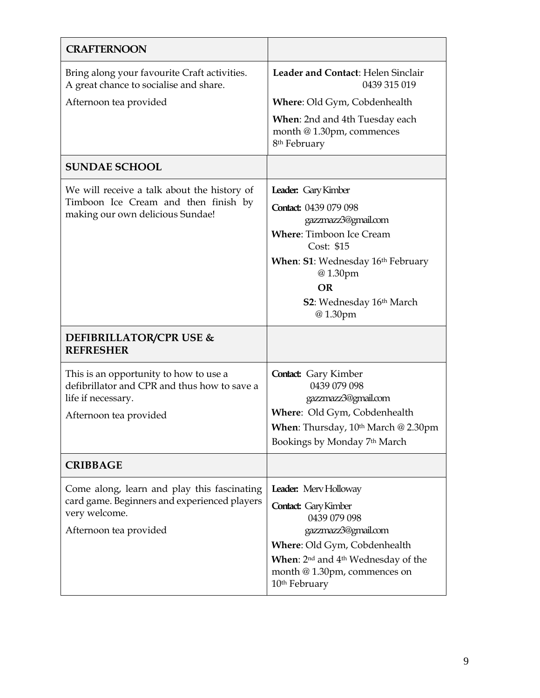| <b>CRAFTERNOON</b>                                                                                                                     |                                                                                                                                                                                                                                            |
|----------------------------------------------------------------------------------------------------------------------------------------|--------------------------------------------------------------------------------------------------------------------------------------------------------------------------------------------------------------------------------------------|
| Bring along your favourite Craft activities.<br>A great chance to socialise and share.                                                 | Leader and Contact: Helen Sinclair<br>0439 315 019                                                                                                                                                                                         |
| Afternoon tea provided                                                                                                                 | Where: Old Gym, Cobdenhealth                                                                                                                                                                                                               |
|                                                                                                                                        | When: 2nd and 4th Tuesday each<br>month @ 1.30pm, commences<br>8 <sup>th</sup> February                                                                                                                                                    |
| <b>SUNDAE SCHOOL</b>                                                                                                                   |                                                                                                                                                                                                                                            |
| We will receive a talk about the history of<br>Timboon Ice Cream and then finish by<br>making our own delicious Sundae!                | Leader: Gary Kimber<br>Contact: 0439 079 098<br>gazzmazz3@gmail.com<br><b>Where:</b> Timboon Ice Cream<br>Cost: \$15<br>When: S1: Wednesday 16th February<br>@1.30pm<br><b>OR</b><br><b>S2</b> : Wednesday 16th March<br>@1.30pm           |
| <b>DEFIBRILLATOR/CPR USE &amp;</b><br><b>REFRESHER</b>                                                                                 |                                                                                                                                                                                                                                            |
| This is an opportunity to how to use a<br>defibrillator and CPR and thus how to save a<br>life if necessary.<br>Afternoon tea provided | <b>Contact:</b> Gary Kimber<br>0439 079 098<br>gazzmazz3@gmail.com<br>Where: Old Gym, Cobdenhealth<br>When: Thursday, 10th March @ 2.30pm<br>Bookings by Monday 7th March                                                                  |
| <b>CRIBBAGE</b>                                                                                                                        |                                                                                                                                                                                                                                            |
| Come along, learn and play this fascinating<br>card game. Beginners and experienced players<br>very welcome.<br>Afternoon tea provided | Leader: Merv Holloway<br><b>Contact:</b> Gary Kimber<br>0439 079 098<br>gazzmazz3@gmail.com<br>Where: Old Gym, Cobdenhealth<br>When: 2 <sup>nd</sup> and 4 <sup>th</sup> Wednesday of the<br>month @ 1.30pm, commences on<br>10th February |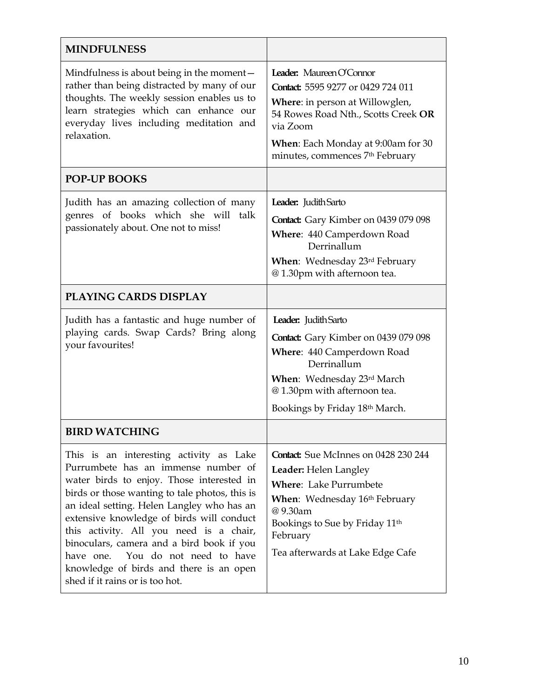| <b>MINDFULNESS</b>                                                                                                                                                                                                                                                                                                                                                                                                                                                                  |                                                                                                                                                                                                                                             |  |
|-------------------------------------------------------------------------------------------------------------------------------------------------------------------------------------------------------------------------------------------------------------------------------------------------------------------------------------------------------------------------------------------------------------------------------------------------------------------------------------|---------------------------------------------------------------------------------------------------------------------------------------------------------------------------------------------------------------------------------------------|--|
| Mindfulness is about being in the moment –<br>rather than being distracted by many of our<br>thoughts. The weekly session enables us to<br>learn strategies which can enhance our<br>everyday lives including meditation and<br>relaxation.                                                                                                                                                                                                                                         | Leader: Maureen O'Connor<br>Contact: 5595 9277 or 0429 724 011<br><b>Where:</b> in person at Willowglen,<br>54 Rowes Road Nth., Scotts Creek OR<br>via Zoom<br><b>When:</b> Each Monday at 9:00am for 30<br>minutes, commences 7th February |  |
| <b>POP-UP BOOKS</b>                                                                                                                                                                                                                                                                                                                                                                                                                                                                 |                                                                                                                                                                                                                                             |  |
| Judith has an amazing collection of many<br>genres of books which she will talk<br>passionately about. One not to miss!                                                                                                                                                                                                                                                                                                                                                             | Leader: Judith Sarto<br>Contact: Gary Kimber on 0439 079 098<br>Where: 440 Camperdown Road<br>Derrinallum<br>When: Wednesday 23rd February<br>@1.30pm with afternoon tea.                                                                   |  |
| PLAYING CARDS DISPLAY                                                                                                                                                                                                                                                                                                                                                                                                                                                               |                                                                                                                                                                                                                                             |  |
| Judith has a fantastic and huge number of<br>playing cards. Swap Cards? Bring along<br>your favourites!                                                                                                                                                                                                                                                                                                                                                                             | Leader: Judith Sarto<br><b>Contact:</b> Gary Kimber on 0439 079 098<br>Where: 440 Camperdown Road<br>Derrinallum<br><b>When:</b> Wednesday 23rd March<br>@1.30pm with afternoon tea.<br>Bookings by Friday 18th March.                      |  |
| <b>BIRD WATCHING</b>                                                                                                                                                                                                                                                                                                                                                                                                                                                                |                                                                                                                                                                                                                                             |  |
| This is an interesting activity as Lake<br>Purrumbete has an immense number of<br>water birds to enjoy. Those interested in<br>birds or those wanting to tale photos, this is<br>an ideal setting. Helen Langley who has an<br>extensive knowledge of birds will conduct<br>this activity. All you need is a chair,<br>binoculars, camera and a bird book if you<br>have one. You do not need to have<br>knowledge of birds and there is an open<br>shed if it rains or is too hot. | <b>Contact:</b> Sue McInnes on 0428 230 244<br><b>Leader:</b> Helen Langley<br><b>Where:</b> Lake Purrumbete<br>When: Wednesday 16th February<br>@9.30am<br>Bookings to Sue by Friday 11th<br>February<br>Tea afterwards at Lake Edge Cafe  |  |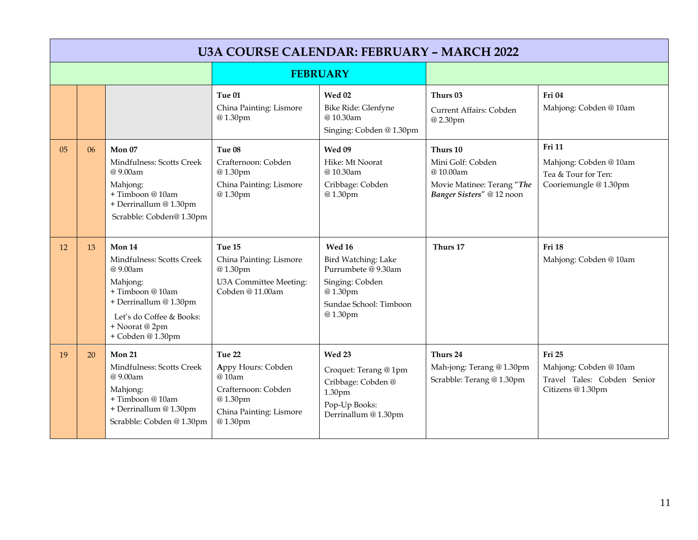|                 | <b>U3A COURSE CALENDAR: FEBRUARY - MARCH 2022</b> |                                                                                                                                                                             |                                                                                                               |                                                                                                                         |                                                                                                      |                                                                                        |  |
|-----------------|---------------------------------------------------|-----------------------------------------------------------------------------------------------------------------------------------------------------------------------------|---------------------------------------------------------------------------------------------------------------|-------------------------------------------------------------------------------------------------------------------------|------------------------------------------------------------------------------------------------------|----------------------------------------------------------------------------------------|--|
| <b>FEBRUARY</b> |                                                   |                                                                                                                                                                             |                                                                                                               |                                                                                                                         |                                                                                                      |                                                                                        |  |
|                 |                                                   |                                                                                                                                                                             | Tue 01<br>China Painting: Lismore<br>@1.30pm                                                                  | <b>Wed 02</b><br>Bike Ride: Glenfyne<br>@10.30am<br>Singing: Cobden @ 1.30pm                                            | Thurs 03<br>Current Affairs: Cobden<br>@2.30pm                                                       | Fri 04<br>Mahjong: Cobden @ 10am                                                       |  |
| 0 <sub>5</sub>  | 06                                                | Mon 07<br>Mindfulness: Scotts Creek<br>@9.00am<br>Mahjong:<br>+Timboon@10am<br>+ Derrinallum @ 1.30pm<br>Scrabble: Cobden@1.30pm                                            | Tue 08<br>Crafternoon: Cobden<br>@1.30pm<br>China Painting: Lismore<br>@1.30pm                                | Wed 09<br>Hike: Mt Noorat<br>@10.30am<br>Cribbage: Cobden<br>@1.30pm                                                    | Thurs 10<br>Mini Golf: Cobden<br>@10.00am<br>Movie Matinee: Terang "The<br>Banger Sisters" @ 12 noon | <b>Fri 11</b><br>Mahjong: Cobden @ 10am<br>Tea & Tour for Ten:<br>Cooriemungle @1.30pm |  |
| 12              | 13                                                | Mon 14<br>Mindfulness: Scotts Creek<br>@9.00am<br>Mahjong:<br>+ Timboon @ 10am<br>+ Derrinallum @ 1.30pm<br>Let's do Coffee & Books:<br>+ Noorat @ 2pm<br>+ Cobden @ 1.30pm | Tue 15<br>China Painting: Lismore<br>@1.30pm<br>U3A Committee Meeting:<br>Cobden @ 11.00am                    | Wed 16<br>Bird Watching: Lake<br>Purrumbete @ 9.30am<br>Singing: Cobden<br>@1.30pm<br>Sundae School: Timboon<br>@1.30pm | Thurs 17                                                                                             | Fri 18<br>Mahjong: Cobden @ 10am                                                       |  |
| 19              | 20                                                | <b>Mon 21</b><br>Mindfulness: Scotts Creek<br>@9.00am<br>Mahjong:<br>+ Timboon @ 10am<br>+ Derrinallum @ 1.30pm<br>Scrabble: Cobden @ 1.30pm                                | Tue 22<br>Appy Hours: Cobden<br>@10am<br>Crafternoon: Cobden<br>@1.30pm<br>China Painting: Lismore<br>@1.30pm | Wed 23<br>Croquet: Terang @ 1pm<br>Cribbage: Cobden @<br>1.30pm<br>Pop-Up Books:<br>Derrinallum @ 1.30pm                | Thurs 24<br>Mah-jong: Terang @ 1.30pm<br>Scrabble: Terang @ 1.30pm                                   | Fri 25<br>Mahjong: Cobden @ 10am<br>Travel Tales: Cobden Senior<br>Citizens @ 1.30pm   |  |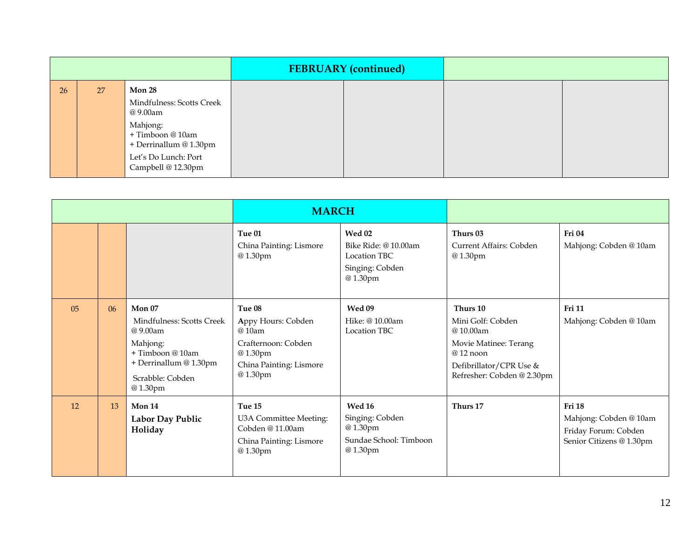|    |    |                                                                                                                                   | <b>FEBRUARY</b> (continued) |  |
|----|----|-----------------------------------------------------------------------------------------------------------------------------------|-----------------------------|--|
| 26 | 27 | Mon 28<br>Mindfulness: Scotts Creek<br>@ 9.00am<br>Mahjong:<br>+ Timboon @ 10am<br>+ Derrinallum @ 1.30pm<br>Let's Do Lunch: Port |                             |  |
|    |    | Campbell @ 12.30pm                                                                                                                |                             |  |

|                |    | <b>MARCH</b>                                                                                                                                |                                                                                                               |                                                                                            |                                                                                                                                           |                                                                                             |
|----------------|----|---------------------------------------------------------------------------------------------------------------------------------------------|---------------------------------------------------------------------------------------------------------------|--------------------------------------------------------------------------------------------|-------------------------------------------------------------------------------------------------------------------------------------------|---------------------------------------------------------------------------------------------|
|                |    |                                                                                                                                             | Tue 01<br>China Painting: Lismore<br>@1.30pm                                                                  | <b>Wed 02</b><br>Bike Ride: @ 10.00am<br><b>Location TBC</b><br>Singing: Cobden<br>@1.30pm | Thurs 03<br>Current Affairs: Cobden<br>@1.30pm                                                                                            | Fri 04<br>Mahjong: Cobden @ 10am                                                            |
| 0 <sub>5</sub> | 06 | Mon $07$<br>Mindfulness: Scotts Creek<br>@9.00am<br>Mahjong:<br>$+$ Timboon @ 10am<br>+ Derrinallum @ 1.30pm<br>Scrabble: Cobden<br>@1.30pm | Tue 08<br>Appy Hours: Cobden<br>@10am<br>Crafternoon: Cobden<br>@1.30pm<br>China Painting: Lismore<br>@1.30pm | Wed 09<br>Hike: @ 10.00am<br><b>Location TBC</b>                                           | Thurs 10<br>Mini Golf: Cobden<br>@10.00am<br>Movie Matinee: Terang<br>$@12$ noon<br>Defibrillator/CPR Use &<br>Refresher: Cobden @ 2.30pm | <b>Fri 11</b><br>Mahjong: Cobden @ 10am                                                     |
| 12             | 13 | Mon 14<br>Labor Day Public<br>Holiday                                                                                                       | Tue 15<br>U3A Committee Meeting:<br>Cobden @ 11.00am<br>China Painting: Lismore<br>@1.30pm                    | <b>Wed 16</b><br>Singing: Cobden<br>@1.30pm<br>Sundae School: Timboon<br>@1.30pm           | Thurs 17                                                                                                                                  | <b>Fri 18</b><br>Mahjong: Cobden @ 10am<br>Friday Forum: Cobden<br>Senior Citizens @ 1.30pm |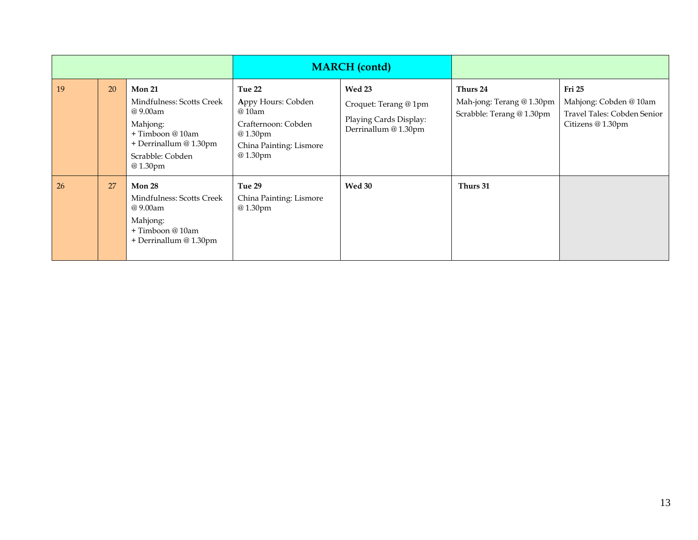|    |    |                                                                                                                                                 | <b>MARCH</b> (contd)                                                                                           |                                                                                   |                                                                    |                                                                                      |
|----|----|-------------------------------------------------------------------------------------------------------------------------------------------------|----------------------------------------------------------------------------------------------------------------|-----------------------------------------------------------------------------------|--------------------------------------------------------------------|--------------------------------------------------------------------------------------|
| 19 | 20 | <b>Mon 21</b><br>Mindfulness: Scotts Creek<br>@ 9.00am<br>Mahjong:<br>+ Timboon @ 10am<br>+ Derrinallum @ 1.30pm<br>Scrabble: Cobden<br>@1.30pm | Tue 22<br>Appy Hours: Cobden<br>@ 10am<br>Crafternoon: Cobden<br>@1.30pm<br>China Painting: Lismore<br>@1.30pm | Wed 23<br>Croquet: Terang @ 1pm<br>Playing Cards Display:<br>Derrinallum @ 1.30pm | Thurs 24<br>Mah-jong: Terang @ 1.30pm<br>Scrabble: Terang @ 1.30pm | Fri 25<br>Mahjong: Cobden @ 10am<br>Travel Tales: Cobden Senior<br>Citizens @ 1.30pm |
| 26 | 27 | Mon 28<br>Mindfulness: Scotts Creek<br>@ 9.00am<br>Mahjong:<br>+ Timboon @ 10am<br>+ Derrinallum @ 1.30pm                                       | Tue 29<br>China Painting: Lismore<br>@1.30pm                                                                   | Wed 30                                                                            | Thurs 31                                                           |                                                                                      |